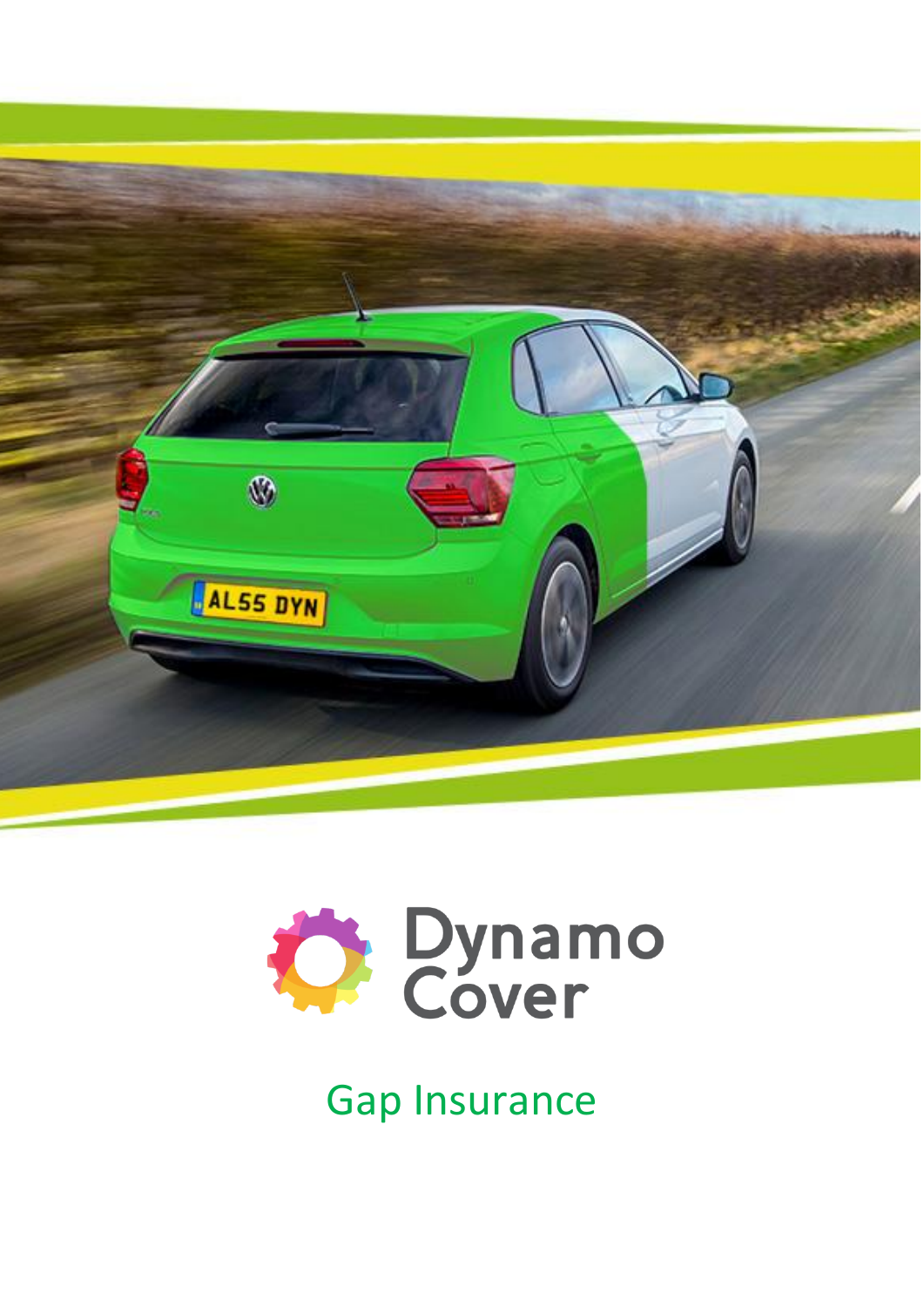



Gap Insurance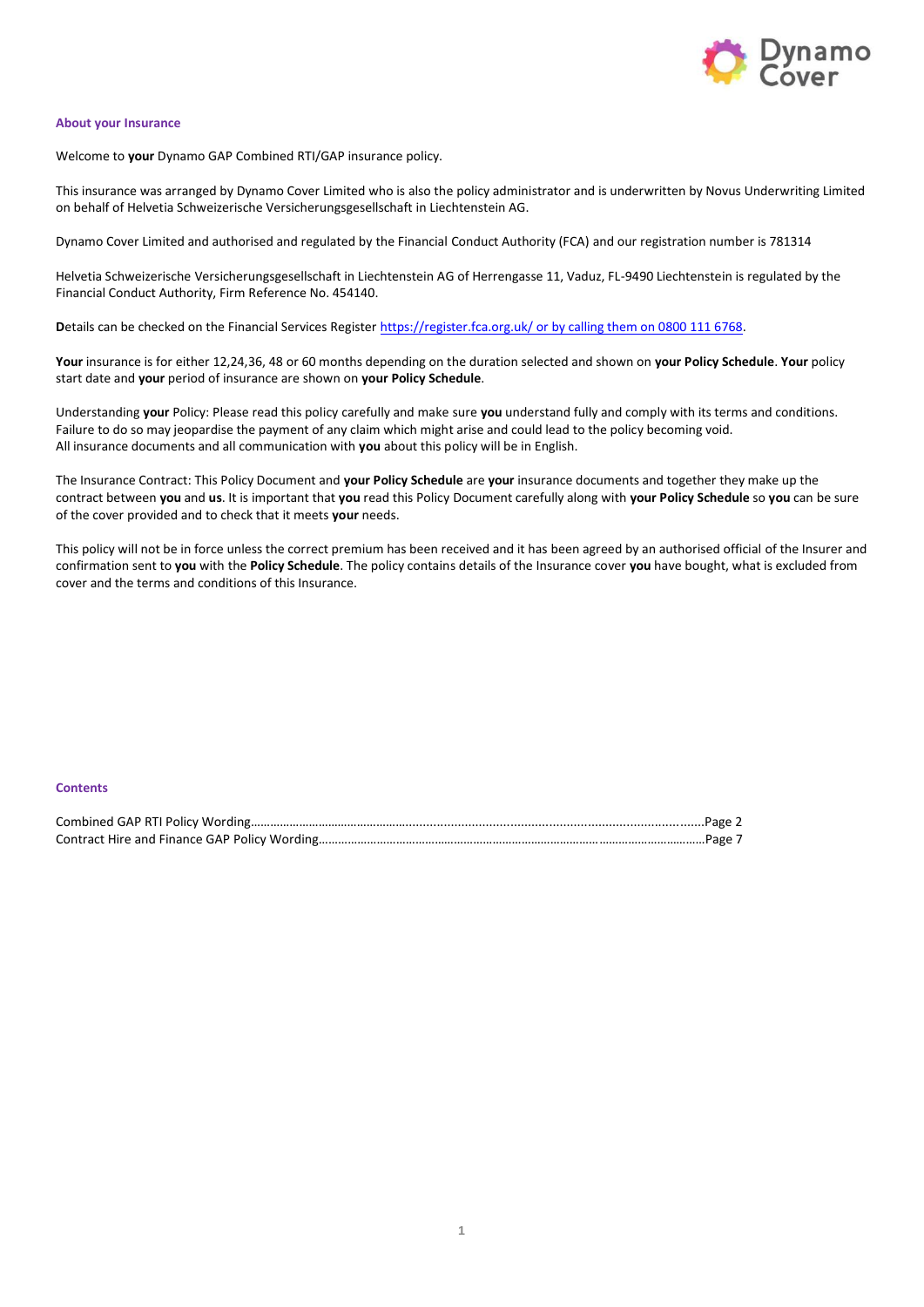

### **About your Insurance**

Welcome to **your** Dynamo GAP Combined RTI/GAP insurance policy.

This insurance was arranged by Dynamo Cover Limited who is also the policy administrator and is underwritten by Novus Underwriting Limited on behalf of Helvetia Schweizerische Versicherungsgesellschaft in Liechtenstein AG.

Dynamo Cover Limited and authorised and regulated by the Financial Conduct Authority (FCA) and our registration number is 781314

Helvetia Schweizerische Versicherungsgesellschaft in Liechtenstein AG of Herrengasse 11, Vaduz, FL-9490 Liechtenstein is regulated by the Financial Conduct Authority, Firm Reference No. 454140.

**D**etails can be checked on the Financial Services Register<https://register.fca.org.uk/> or by calling them on 0800 111 6768.

**Your** insurance is for either 12,24,36, 48 or 60 months depending on the duration selected and shown on **your Policy Schedule**. **Your** policy start date and **your** period of insurance are shown on **your Policy Schedule**.

Understanding **your** Policy: Please read this policy carefully and make sure **you** understand fully and comply with its terms and conditions. Failure to do so may jeopardise the payment of any claim which might arise and could lead to the policy becoming void. All insurance documents and all communication with **you** about this policy will be in English.

The Insurance Contract: This Policy Document and **your Policy Schedule** are **your** insurance documents and together they make up the contract between **you** and **us**. It is important that **you** read this Policy Document carefully along with **your Policy Schedule** so **you** can be sure of the cover provided and to check that it meets **your** needs.

This policy will not be in force unless the correct premium has been received and it has been agreed by an authorised official of the Insurer and confirmation sent to **you** with the **Policy Schedule**. The policy contains details of the Insurance cover **you** have bought, what is excluded from cover and the terms and conditions of this Insurance.

## **Contents**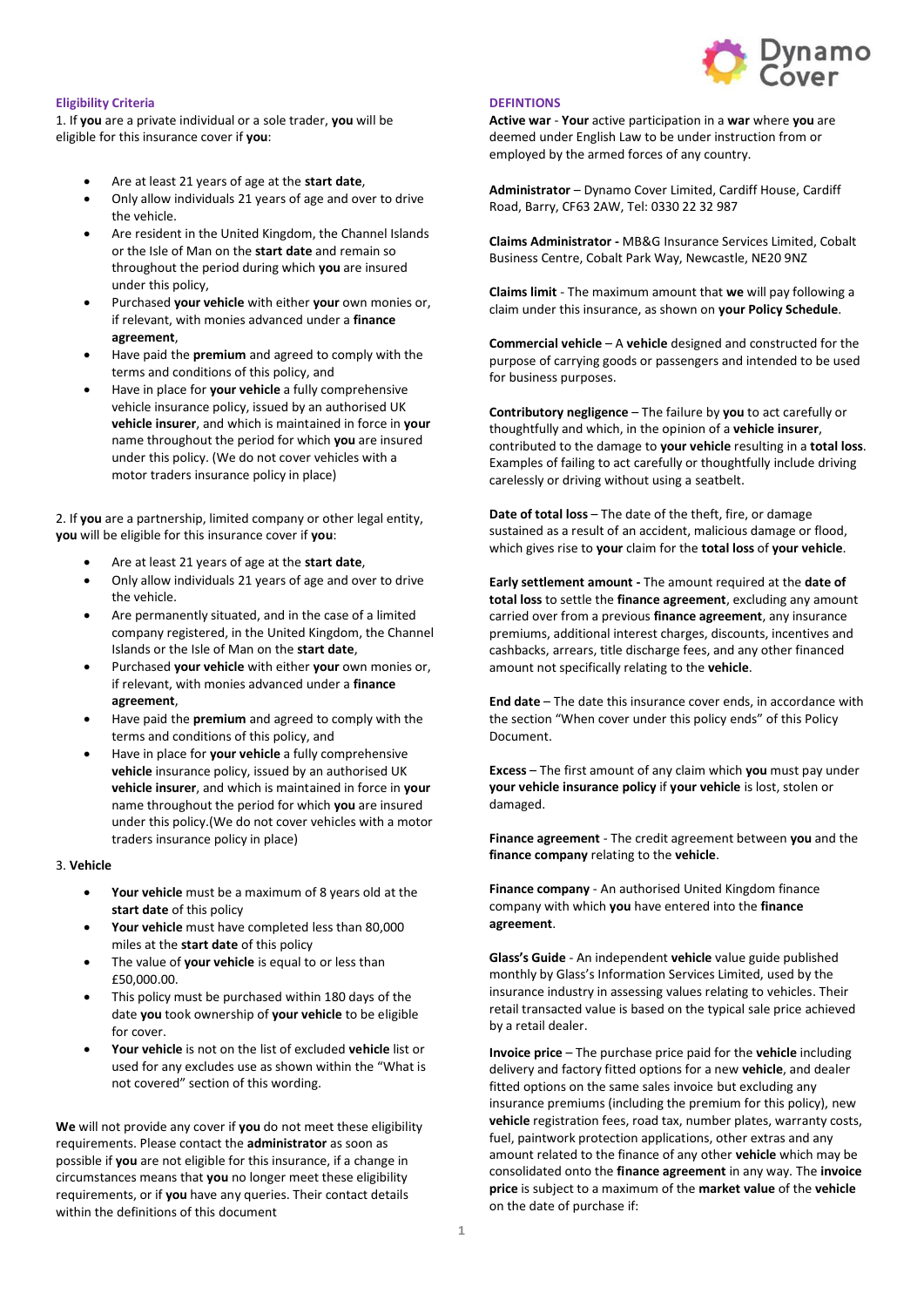

## **Eligibility Criteria**

1. If **you** are a private individual or a sole trader, **you** will be eligible for this insurance cover if **you**:

- Are at least 21 years of age at the **start date**,
- Only allow individuals 21 years of age and over to drive the vehicle.
- Are resident in the United Kingdom, the Channel Islands or the Isle of Man on the **start date** and remain so throughout the period during which **you** are insured under this policy,
- Purchased **your vehicle** with either **your** own monies or, if relevant, with monies advanced under a **finance agreement**,
- Have paid the **premium** and agreed to comply with the terms and conditions of this policy, and
- Have in place for **your vehicle** a fully comprehensive vehicle insurance policy, issued by an authorised UK **vehicle insurer**, and which is maintained in force in **your** name throughout the period for which **you** are insured under this policy. (We do not cover vehicles with a motor traders insurance policy in place)

2. If **you** are a partnership, limited company or other legal entity, **you** will be eligible for this insurance cover if **you**:

- Are at least 21 years of age at the **start date**,
- Only allow individuals 21 years of age and over to drive the vehicle.
- Are permanently situated, and in the case of a limited company registered, in the United Kingdom, the Channel Islands or the Isle of Man on the **start date**,
- Purchased **your vehicle** with either **your** own monies or, if relevant, with monies advanced under a **finance agreement**,
- Have paid the **premium** and agreed to comply with the terms and conditions of this policy, and
- Have in place for **your vehicle** a fully comprehensive **vehicle** insurance policy, issued by an authorised UK **vehicle insurer**, and which is maintained in force in **your** name throughout the period for which **you** are insured under this policy.(We do not cover vehicles with a motor traders insurance policy in place)

### 3. **Vehicle**

- **Your vehicle** must be a maximum of 8 years old at the **start date** of this policy
- **Your vehicle** must have completed less than 80,000 miles at the **start date** of this policy
- The value of **your vehicle** is equal to or less than £50,000.00.
- This policy must be purchased within 180 days of the date **you** took ownership of **your vehicle** to be eligible for cover.
- **Your vehicle** is not on the list of excluded **vehicle** list or used for any excludes use as shown within the "What is not covered" section of this wording.

**We** will not provide any cover if **you** do not meet these eligibility requirements. Please contact the **administrator** as soon as possible if **you** are not eligible for this insurance, if a change in circumstances means that **you** no longer meet these eligibility requirements, or if **you** have any queries. Their contact details within the definitions of this document

### **DEFINTIONS**

**Active war** - **Your** active participation in a **war** where **you** are deemed under English Law to be under instruction from or employed by the armed forces of any country.

**Administrator** – Dynamo Cover Limited, Cardiff House, Cardiff Road, Barry, CF63 2AW, Tel: 0330 22 32 987

**Claims Administrator -** MB&G Insurance Services Limited, Cobalt Business Centre, Cobalt Park Way, Newcastle, NE20 9NZ

**Claims limit** - The maximum amount that **we** will pay following a claim under this insurance, as shown on **your Policy Schedule**.

**Commercial vehicle** – A **vehicle** designed and constructed for the purpose of carrying goods or passengers and intended to be used for business purposes.

**Contributory negligence** – The failure by **you** to act carefully or thoughtfully and which, in the opinion of a **vehicle insurer**, contributed to the damage to **your vehicle** resulting in a **total loss**. Examples of failing to act carefully or thoughtfully include driving carelessly or driving without using a seatbelt.

**Date of total loss** – The date of the theft, fire, or damage sustained as a result of an accident, malicious damage or flood, which gives rise to **your** claim for the **total loss** of **your vehicle**.

**Early settlement amount -** The amount required at the **date of total loss** to settle the **finance agreement**, excluding any amount carried over from a previous **finance agreement**, any insurance premiums, additional interest charges, discounts, incentives and cashbacks, arrears, title discharge fees, and any other financed amount not specifically relating to the **vehicle**.

**End date** – The date this insurance cover ends, in accordance with the section "When cover under this policy ends" of this Policy Document.

**Excess** – The first amount of any claim which **you** must pay under **your vehicle insurance policy** if **your vehicle** is lost, stolen or damaged.

**Finance agreement** - The credit agreement between **you** and the **finance company** relating to the **vehicle**.

**Finance company** - An authorised United Kingdom finance company with which **you** have entered into the **finance agreement**.

**Glass's Guide** - An independent **vehicle** value guide published monthly by Glass's Information Services Limited, used by the insurance industry in assessing values relating to vehicles. Their retail transacted value is based on the typical sale price achieved by a retail dealer.

**Invoice price** – The purchase price paid for the **vehicle** including delivery and factory fitted options for a new **vehicle**, and dealer fitted options on the same sales invoice but excluding any insurance premiums (including the premium for this policy), new **vehicle** registration fees, road tax, number plates, warranty costs, fuel, paintwork protection applications, other extras and any amount related to the finance of any other **vehicle** which may be consolidated onto the **finance agreement** in any way. The **invoice price** is subject to a maximum of the **market value** of the **vehicle** on the date of purchase if: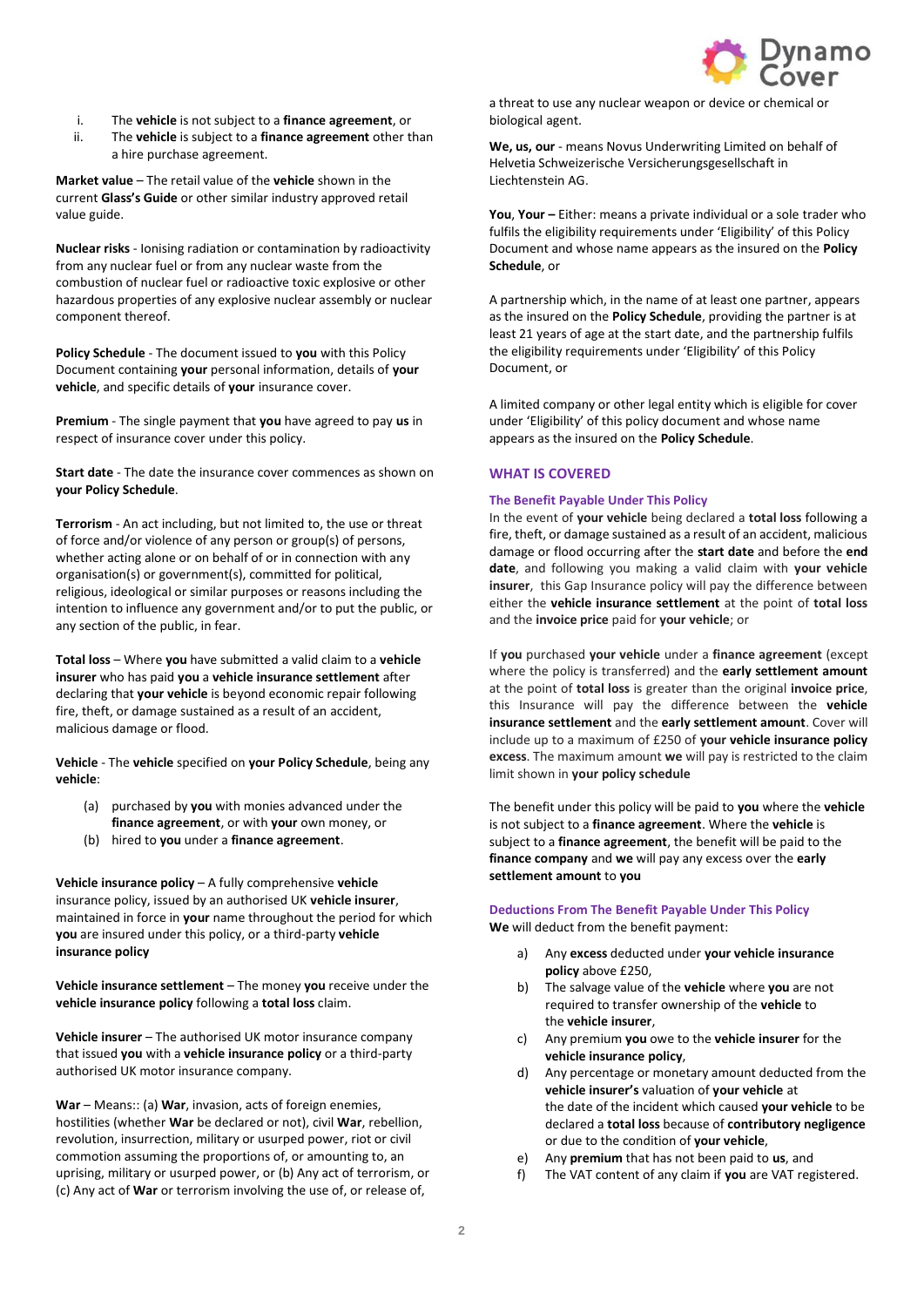

- i. The **vehicle** is not subject to a **finance agreement**, or
- ii. The **vehicle** is subject to a **finance agreement** other than a hire purchase agreement.

**Market value** – The retail value of the **vehicle** shown in the current **Glass's Guide** or other similar industry approved retail value guide.

**Nuclear risks** - Ionising radiation or contamination by radioactivity from any nuclear fuel or from any nuclear waste from the combustion of nuclear fuel or radioactive toxic explosive or other hazardous properties of any explosive nuclear assembly or nuclear component thereof.

**Policy Schedule** - The document issued to **you** with this Policy Document containing **your** personal information, details of **your vehicle**, and specific details of **your** insurance cover.

**Premium** - The single payment that **you** have agreed to pay **us** in respect of insurance cover under this policy.

**Start date** - The date the insurance cover commences as shown on **your Policy Schedule**.

**Terrorism** - An act including, but not limited to, the use or threat of force and/or violence of any person or group(s) of persons, whether acting alone or on behalf of or in connection with any organisation(s) or government(s), committed for political, religious, ideological or similar purposes or reasons including the intention to influence any government and/or to put the public, or any section of the public, in fear.

**Total loss** – Where **you** have submitted a valid claim to a **vehicle insurer** who has paid **you** a **vehicle insurance settlement** after declaring that **your vehicle** is beyond economic repair following fire, theft, or damage sustained as a result of an accident, malicious damage or flood.

**Vehicle** - The **vehicle** specified on **your Policy Schedule**, being any **vehicle**:

- (a) purchased by **you** with monies advanced under the **finance agreement**, or with **your** own money, or
- (b) hired to **you** under a **finance agreement**.

**Vehicle insurance policy** – A fully comprehensive **vehicle** insurance policy, issued by an authorised UK **vehicle insurer**, maintained in force in **your** name throughout the period for which **you** are insured under this policy, or a third-party **vehicle insurance policy**

**Vehicle insurance settlement** – The money **you** receive under the **vehicle insurance policy** following a **total loss** claim.

**Vehicle insurer** – The authorised UK motor insurance company that issued **you** with a **vehicle insurance policy** or a third-party authorised UK motor insurance company.

**War** – Means:: (a) **War**, invasion, acts of foreign enemies, hostilities (whether **War** be declared or not), civil **War**, rebellion, revolution, insurrection, military or usurped power, riot or civil commotion assuming the proportions of, or amounting to, an uprising, military or usurped power, or (b) Any act of terrorism, or (c) Any act of **War** or terrorism involving the use of, or release of,

a threat to use any nuclear weapon or device or chemical or biological agent.

We, us, our - means Novus Underwriting Limited on behalf of Helvetia Schweizerische Versicherungsgesellschaft in Liechtenstein AG.

**You, Your –** Either: means a private individual or a sole trader who fulfils the eligibility requirements under 'Eligibility' of this Policy Document and whose name appears as the insured on the **Policy Schedule**, or

A partnership which, in the name of at least one partner, appears as the insured on the **Policy Schedule**, providing the partner is at least 21 years of age at the start date, and the partnership fulfils the eligibility requirements under 'Eligibility' of this Policy Document, or

A limited company or other legal entity which is eligible for cover under 'Eligibility' of this policy document and whose name appears as the insured on the **Policy Schedule**.

## **WHAT IS COVERED**

## **The Benefit Payable Under This Policy**

In the event of **your vehicle** being declared a **total loss** following a fire, theft, or damage sustained as a result of an accident, malicious damage or flood occurring after the **start date** and before the **end date**, and following you making a valid claim with **your vehicle insurer**, this Gap Insurance policy will pay the difference between either the **vehicle insurance settlement** at the point of **total loss**  and the **invoice price** paid for **your vehicle**; or

If **you** purchased **your vehicle** under a **finance agreement** (except where the policy is transferred) and the **early settlement amount** at the point of **total loss** is greater than the original **invoice price**, this Insurance will pay the difference between the **vehicle insurance settlement** and the **early settlement amount**. Cover will include up to a maximum of £250 of **your vehicle insurance policy excess**. The maximum amount **we** will pay is restricted to the claim limit shown in **your policy schedule**

The benefit under this policy will be paid to **you** where the **vehicle** is not subject to a **finance agreement**. Where the **vehicle** is subject to a **finance agreement**, the benefit will be paid to the **finance company** and **we** will pay any excess over the **early settlement amount** to **you**

## **Deductions From The Benefit Payable Under This Policy We** will deduct from the benefit payment:

- a) Any **excess** deducted under **your vehicle insurance policy** above £250,
- b) The salvage value of the **vehicle** where **you** are not required to transfer ownership of the **vehicle** to the **vehicle insurer**,
- c) Any premium **you** owe to the **vehicle insurer** for the **vehicle insurance policy**,
- d) Any percentage or monetary amount deducted from the **vehicle insurer's** valuation of **your vehicle** at the date of the incident which caused **your vehicle** to be declared a **total loss** because of **contributory negligence** or due to the condition of **your vehicle**,
- e) Any **premium** that has not been paid to **us**, and
- f) The VAT content of any claim if **you** are VAT registered.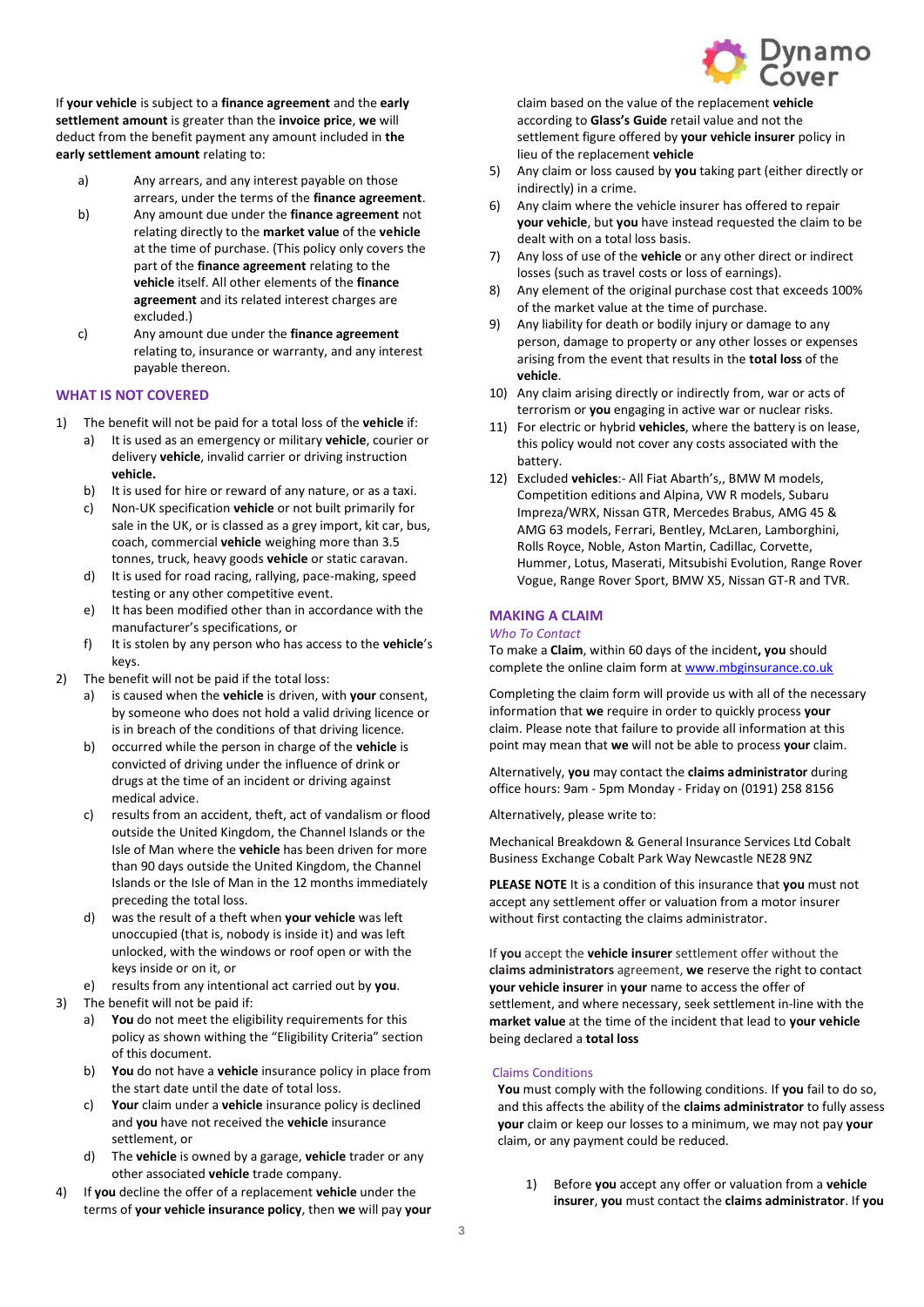

If **your vehicle** is subject to a **finance agreement** and the **early settlement amount** is greater than the **invoice price**, **we** will deduct from the benefit payment any amount included in **the early settlement amount** relating to:

- a) Any arrears, and any interest payable on those arrears, under the terms of the **finance agreement**.
- b) Any amount due under the **finance agreement** not relating directly to the **market value** of the **vehicle** at the time of purchase. (This policy only covers the part of the **finance agreement** relating to the **vehicle** itself. All other elements of the **finance agreement** and its related interest charges are excluded.)
- c) Any amount due under the **finance agreement** relating to, insurance or warranty, and any interest payable thereon.

## **WHAT IS NOT COVERED**

- 1) The benefit will not be paid for a total loss of the **vehicle** if:
	- a) It is used as an emergency or military **vehicle**, courier or delivery **vehicle**, invalid carrier or driving instruction **vehicle.**
	- b) It is used for hire or reward of any nature, or as a taxi.
	- c) Non-UK specification **vehicle** or not built primarily for sale in the UK, or is classed as a grey import, kit car, bus, coach, commercial **vehicle** weighing more than 3.5 tonnes, truck, heavy goods **vehicle** or static caravan.
	- d) It is used for road racing, rallying, pace-making, speed testing or any other competitive event.
	- e) It has been modified other than in accordance with the manufacturer's specifications, or
	- f) It is stolen by any person who has access to the **vehicle**'s keys.
- 2) The benefit will not be paid if the total loss:
	- a) is caused when the **vehicle** is driven, with **your** consent, by someone who does not hold a valid driving licence or is in breach of the conditions of that driving licence.
	- b) occurred while the person in charge of the **vehicle** is convicted of driving under the influence of drink or drugs at the time of an incident or driving against medical advice.
	- c) results from an accident, theft, act of vandalism or flood outside the United Kingdom, the Channel Islands or the Isle of Man where the **vehicle** has been driven for more than 90 days outside the United Kingdom, the Channel Islands or the Isle of Man in the 12 months immediately preceding the total loss.
	- d) was the result of a theft when **your vehicle** was left unoccupied (that is, nobody is inside it) and was left unlocked, with the windows or roof open or with the keys inside or on it, or
	- e) results from any intentional act carried out by **you**.
- 3) The benefit will not be paid if:
	- a) **You** do not meet the eligibility requirements for this policy as shown withing the "Eligibility Criteria" section of this document.
	- b) **You** do not have a **vehicle** insurance policy in place from the start date until the date of total loss.
	- c) **Your** claim under a **vehicle** insurance policy is declined and **you** have not received the **vehicle** insurance settlement, or
	- d) The **vehicle** is owned by a garage, **vehicle** trader or any other associated **vehicle** trade company.
- 4) If **you** decline the offer of a replacement **vehicle** under the terms of **your vehicle insurance policy**, then **we** will pay **your**

claim based on the value of the replacement **vehicle**  according to **Glass's Guide** retail value and not the settlement figure offered by **your vehicle insurer** policy in lieu of the replacement **vehicle**

- 5) Any claim or loss caused by **you** taking part (either directly or indirectly) in a crime.
- 6) Any claim where the vehicle insurer has offered to repair **your vehicle**, but **you** have instead requested the claim to be dealt with on a total loss basis.
- 7) Any loss of use of the **vehicle** or any other direct or indirect losses (such as travel costs or loss of earnings).
- 8) Any element of the original purchase cost that exceeds 100% of the market value at the time of purchase.
- 9) Any liability for death or bodily injury or damage to any person, damage to property or any other losses or expenses arising from the event that results in the **total loss** of the **vehicle**.
- 10) Any claim arising directly or indirectly from, war or acts of terrorism or **you** engaging in active war or nuclear risks.
- 11) For electric or hybrid **vehicles**, where the battery is on lease, this policy would not cover any costs associated with the battery.
- 12) Excluded **vehicles**:- All Fiat Abarth's,, BMW M models, Competition editions and Alpina, VW R models, Subaru Impreza/WRX, Nissan GTR, Mercedes Brabus, AMG 45 & AMG 63 models, Ferrari, Bentley, McLaren, Lamborghini, Rolls Royce, Noble, Aston Martin, Cadillac, Corvette, Hummer, Lotus, Maserati, Mitsubishi Evolution, Range Rover Vogue, Range Rover Sport, BMW X5, Nissan GT-R and TVR.

## **MAKING A CLAIM**

### *Who To Contact*

To make a **Claim**, within 60 days of the incident**, you** should complete the online claim form a[t www.mbginsurance.co.uk](http://www.mbginsurance.co.uk/)

Completing the claim form will provide us with all of the necessary information that **we** require in order to quickly process **your** claim. Please note that failure to provide all information at this point may mean that **we** will not be able to process **your** claim.

Alternatively, **you** may contact the **claims administrator** during office hours: 9am - 5pm Monday - Friday on (0191) 258 8156

Alternatively, please write to:

Mechanical Breakdown & General Insurance Services Ltd Cobalt Business Exchange Cobalt Park Way Newcastle NE28 9NZ

**PLEASE NOTE** It is a condition of this insurance that **you** must not accept any settlement offer or valuation from a motor insurer without first contacting the claims administrator.

If **you** accept the **vehicle insurer** settlement offer without the **claims administrators** agreement, **we** reserve the right to contact **your vehicle insurer** in **your** name to access the offer of settlement, and where necessary, seek settlement in-line with the **market value** at the time of the incident that lead to **your vehicle** being declared a **total loss**

### Claims Conditions

**You** must comply with the following conditions. If **you** fail to do so, and this affects the ability of the **claims administrator** to fully assess **your** claim or keep our losses to a minimum, we may not pay **your** claim, or any payment could be reduced.

1) Before **you** accept any offer or valuation from a **vehicle insurer**, **you** must contact the **claims administrator**. If **you**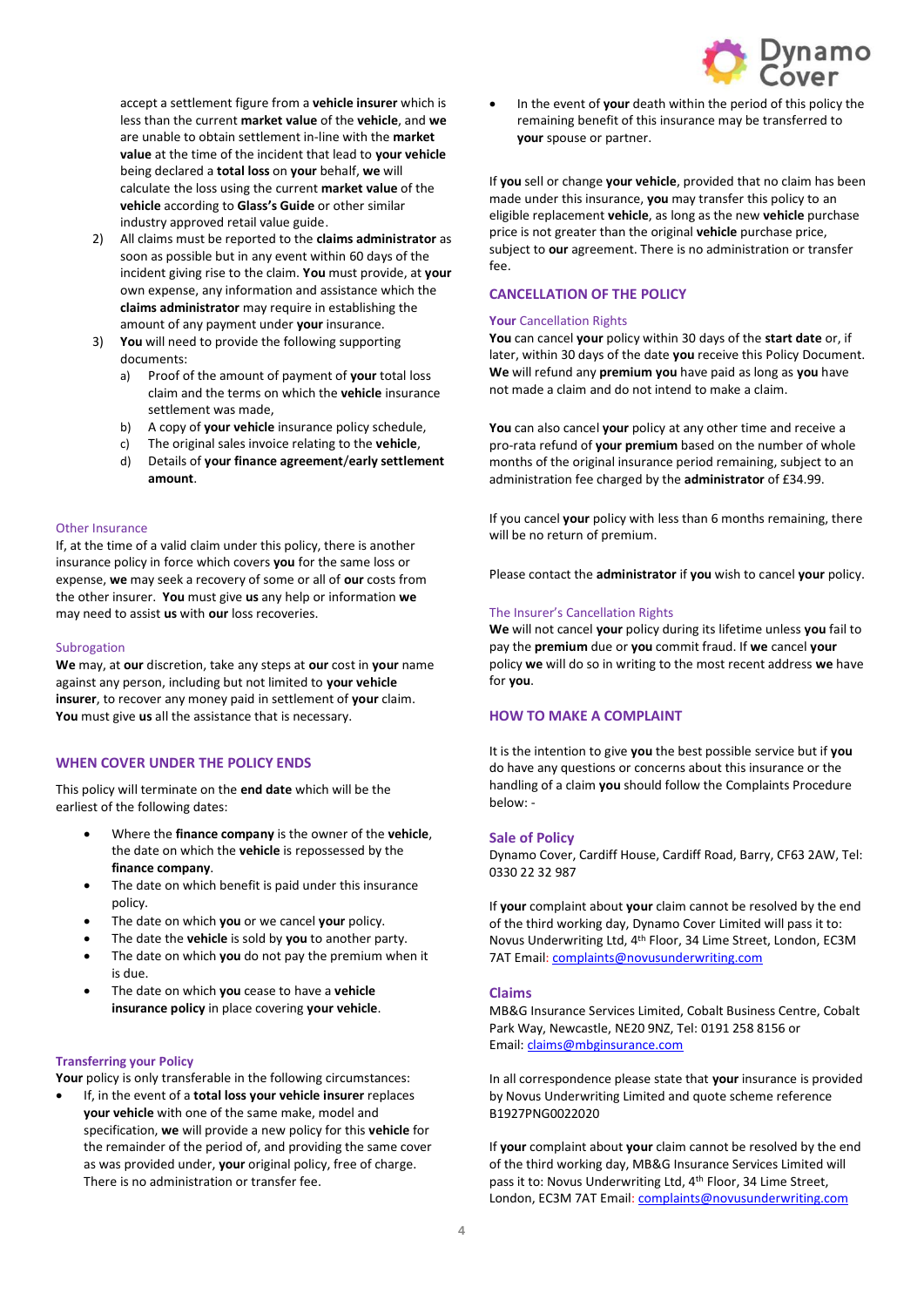

accept a settlement figure from a **vehicle insurer** which is less than the current **market value** of the **vehicle**, and **we**  are unable to obtain settlement in-line with the **market value** at the time of the incident that lead to **your vehicle** being declared a **total loss** on **your** behalf, **we** will calculate the loss using the current **market value** of the **vehicle** according to **Glass's Guide** or other similar industry approved retail value guide.

- 2) All claims must be reported to the **claims administrator** as soon as possible but in any event within 60 days of the incident giving rise to the claim. **You** must provide, at **your** own expense, any information and assistance which the **claims administrator** may require in establishing the amount of any payment under **your** insurance.
- 3) **You** will need to provide the following supporting documents:
	- a) Proof of the amount of payment of **your** total loss claim and the terms on which the **vehicle** insurance settlement was made,
	- b) A copy of **your vehicle** insurance policy schedule,
	- c) The original sales invoice relating to the **vehicle**,
	- d) Details of **your finance agreement**/**early settlement amount**.

## Other Insurance

If, at the time of a valid claim under this policy, there is another insurance policy in force which covers **you** for the same loss or expense, **we** may seek a recovery of some or all of **our** costs from the other insurer. **You** must give **us** any help or information **we** may need to assist **us** with **our** loss recoveries.

### **Subrogation**

**We** may, at **our** discretion, take any steps at **our** cost in **your** name against any person, including but not limited to **your vehicle insurer**, to recover any money paid in settlement of **your** claim. **You** must give **us** all the assistance that is necessary.

## **WHEN COVER UNDER THE POLICY ENDS**

This policy will terminate on the **end date** which will be the earliest of the following dates:

- Where the **finance company** is the owner of the **vehicle**, the date on which the **vehicle** is repossessed by the **finance company**.
- The date on which benefit is paid under this insurance policy.
- The date on which **you** or we cancel **your** policy.
- The date the **vehicle** is sold by **you** to another party.
- The date on which **you** do not pay the premium when it is due.
- The date on which **you** cease to have a **vehicle insurance policy** in place covering **your vehicle**.

### **Transferring your Policy**

Your policy is only transferable in the following circumstances:

• If, in the event of a **total loss your vehicle insurer** replaces **your vehicle** with one of the same make, model and specification, **we** will provide a new policy for this **vehicle** for the remainder of the period of, and providing the same cover as was provided under, **your** original policy, free of charge. There is no administration or transfer fee.

• In the event of **your** death within the period of this policy the remaining benefit of this insurance may be transferred to **your** spouse or partner.

If **you** sell or change **your vehicle**, provided that no claim has been made under this insurance, **you** may transfer this policy to an eligible replacement **vehicle**, as long as the new **vehicle** purchase price is not greater than the original **vehicle** purchase price, subject to **our** agreement. There is no administration or transfer fee.

## **CANCELLATION OF THE POLICY**

#### **Your** Cancellation Rights

**You** can cancel **your** policy within 30 days of the **start date** or, if later, within 30 days of the date **you** receive this Policy Document. **We** will refund any **premium you** have paid as long as **you** have not made a claim and do not intend to make a claim.

**You** can also cancel **your** policy at any other time and receive a pro-rata refund of **your premium** based on the number of whole months of the original insurance period remaining, subject to an administration fee charged by the **administrator** of £34.99.

If you cancel **your** policy with less than 6 months remaining, there will be no return of premium.

Please contact the **administrator** if **you** wish to cancel **your** policy.

### The Insurer's Cancellation Rights

**We** will not cancel **your** policy during its lifetime unless **you** fail to pay the **premium** due or **you** commit fraud. If **we** cancel **your** policy **we** will do so in writing to the most recent address **we** have for **you**.

### **HOW TO MAKE A COMPLAINT**

It is the intention to give **you** the best possible service but if **you** do have any questions or concerns about this insurance or the handling of a claim **you** should follow the Complaints Procedure below: -

### **Sale of Policy**

Dynamo Cover, Cardiff House, Cardiff Road, Barry, CF63 2AW, Tel: 0330 22 32 987

If **your** complaint about **your** claim cannot be resolved by the end of the third working day, Dynamo Cover Limited will pass it to: Novus Underwriting Ltd, 4th Floor, 34 Lime Street, London, EC3M 7AT Email[: complaints@novusunderwriting.com](mailto:complaints@novusunderwriting.com)

### **Claims**

MB&G Insurance Services Limited, Cobalt Business Centre, Cobalt Park Way, Newcastle, NE20 9NZ, Tel: 0191 258 8156 or Email: [claims@mbginsurance.com](mailto:claims@mbginsurance.com)

In all correspondence please state that **your** insurance is provided by Novus Underwriting Limited and quote scheme reference B1927PNG0022020

If **your** complaint about **your** claim cannot be resolved by the end of the third working day, MB&G Insurance Services Limited will pass it to: Novus Underwriting Ltd, 4<sup>th</sup> Floor, 34 Lime Street, London, EC3M 7AT Email[: complaints@novusunderwriting.com](mailto:complaints@novusunderwriting.com)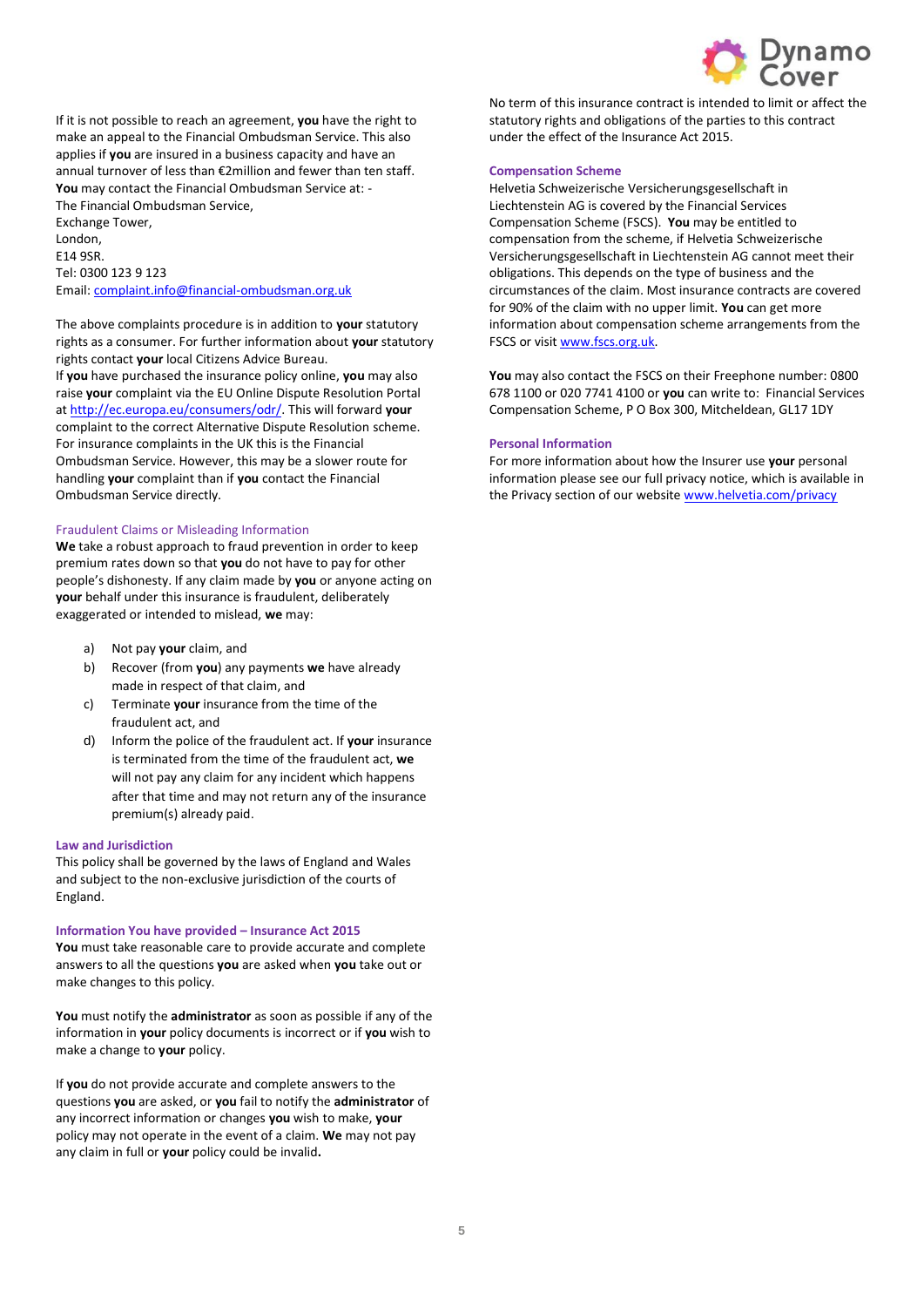

If it is not possible to reach an agreement, **you** have the right to make an appeal to the Financial Ombudsman Service. This also applies if **you** are insured in a business capacity and have an annual turnover of less than €2million and fewer than ten staff. **You** may contact the Financial Ombudsman Service at: - The Financial Ombudsman Service,

Exchange Tower, London, E14 9SR. Tel: 0300 123 9 123 Email[: complaint.info@financial-ombudsman.org.uk](mailto:complaint.info@financial-ombudsman.org.uk)

The above complaints procedure is in addition to **your** statutory rights as a consumer. For further information about **your** statutory rights contact **your** local Citizens Advice Bureau. If **you** have purchased the insurance policy online, **you** may also raise **your** complaint via the EU Online Dispute Resolution Portal a[t http://ec.europa.eu/consumers/odr/.](http://ec.europa.eu/consumers/odr/) This will forward **your** complaint to the correct Alternative Dispute Resolution scheme. For insurance complaints in the UK this is the Financial Ombudsman Service. However, this may be a slower route for handling **your** complaint than if **you** contact the Financial Ombudsman Service directly.

### Fraudulent Claims or Misleading Information

**We** take a robust approach to fraud prevention in order to keep premium rates down so that **you** do not have to pay for other people's dishonesty. If any claim made by **you** or anyone acting on **your** behalf under this insurance is fraudulent, deliberately exaggerated or intended to mislead, **we** may:

- a) Not pay **your** claim, and
- b) Recover (from **you**) any payments **we** have already made in respect of that claim, and
- c) Terminate **your** insurance from the time of the fraudulent act, and
- d) Inform the police of the fraudulent act. If **your** insurance is terminated from the time of the fraudulent act, **we** will not pay any claim for any incident which happens after that time and may not return any of the insurance premium(s) already paid.

### **Law and Jurisdiction**

This policy shall be governed by the laws of England and Wales and subject to the non-exclusive jurisdiction of the courts of England.

### **Information You have provided – Insurance Act 2015**

**You** must take reasonable care to provide accurate and complete answers to all the questions **you** are asked when **you** take out or make changes to this policy.

**You** must notify the **administrator** as soon as possible if any of the information in **your** policy documents is incorrect or if **you** wish to make a change to **your** policy.

If **you** do not provide accurate and complete answers to the questions **you** are asked, or **you** fail to notify the **administrator** of any incorrect information or changes **you** wish to make, **your** policy may not operate in the event of a claim. **We** may not pay any claim in full or **your** policy could be invalid**.**

No term of this insurance contract is intended to limit or affect the statutory rights and obligations of the parties to this contract under the effect of the Insurance Act 2015.

## **Compensation Scheme**

Helvetia Schweizerische Versicherungsgesellschaft in Liechtenstein AG is covered by the Financial Services Compensation Scheme (FSCS). **You** may be entitled to compensation from the scheme, if Helvetia Schweizerische Versicherungsgesellschaft in Liechtenstein AG cannot meet their obligations. This depends on the type of business and the circumstances of the claim. Most insurance contracts are covered for 90% of the claim with no upper limit. **You** can get more information about compensation scheme arrangements from the FSCS or visi[t www.fscs.org.uk.](http://www.fscs.org.uk/)

**You** may also contact the FSCS on their Freephone number: 0800 678 1100 or 020 7741 4100 or **you** can write to: Financial Services Compensation Scheme, P O Box 300, Mitcheldean, GL17 1DY

#### **Personal Information**

For more information about how the Insurer use **your** personal information please see our full privacy notice, which is available in the Privacy section of our website [www.helvetia.com/privacy](http://www.helvetia.com/privacy)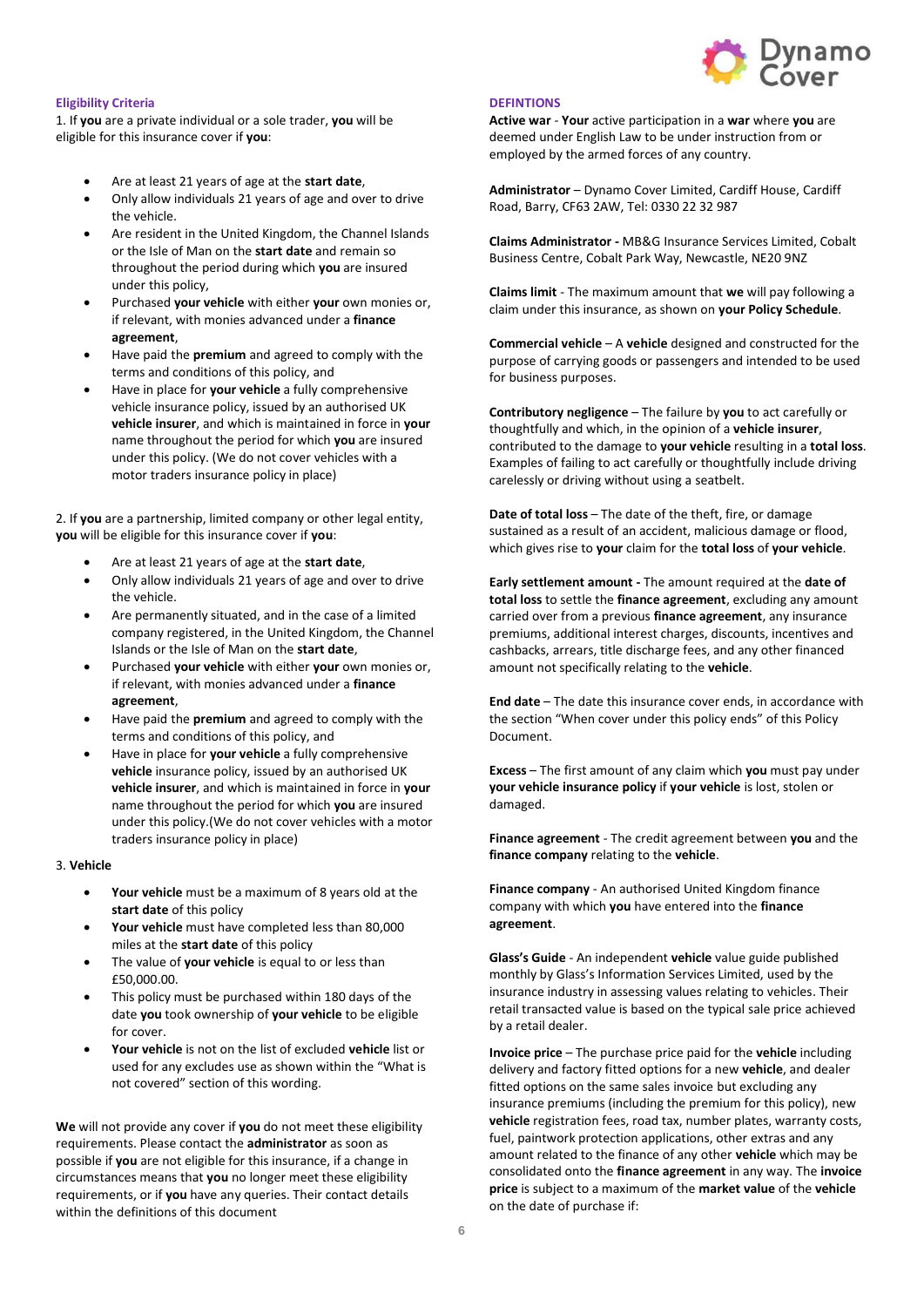

## **Eligibility Criteria**

1. If **you** are a private individual or a sole trader, **you** will be eligible for this insurance cover if **you**:

- Are at least 21 years of age at the **start date**,
- Only allow individuals 21 years of age and over to drive the vehicle.
- Are resident in the United Kingdom, the Channel Islands or the Isle of Man on the **start date** and remain so throughout the period during which **you** are insured under this policy,
- Purchased **your vehicle** with either **your** own monies or, if relevant, with monies advanced under a **finance agreement**,
- Have paid the **premium** and agreed to comply with the terms and conditions of this policy, and
- Have in place for **your vehicle** a fully comprehensive vehicle insurance policy, issued by an authorised UK **vehicle insurer**, and which is maintained in force in **your** name throughout the period for which **you** are insured under this policy. (We do not cover vehicles with a motor traders insurance policy in place)

2. If **you** are a partnership, limited company or other legal entity, **you** will be eligible for this insurance cover if **you**:

- Are at least 21 years of age at the **start date**,
- Only allow individuals 21 years of age and over to drive the vehicle.
- Are permanently situated, and in the case of a limited company registered, in the United Kingdom, the Channel Islands or the Isle of Man on the **start date**,
- Purchased **your vehicle** with either **your** own monies or, if relevant, with monies advanced under a **finance agreement**,
- Have paid the **premium** and agreed to comply with the terms and conditions of this policy, and
- Have in place for **your vehicle** a fully comprehensive **vehicle** insurance policy, issued by an authorised UK **vehicle insurer**, and which is maintained in force in **your** name throughout the period for which **you** are insured under this policy.(We do not cover vehicles with a motor traders insurance policy in place)

### 3. **Vehicle**

- **Your vehicle** must be a maximum of 8 years old at the **start date** of this policy
- **Your vehicle** must have completed less than 80,000 miles at the **start date** of this policy
- The value of **your vehicle** is equal to or less than £50,000.00.
- This policy must be purchased within 180 days of the date **you** took ownership of **your vehicle** to be eligible for cover.
- **Your vehicle** is not on the list of excluded **vehicle** list or used for any excludes use as shown within the "What is not covered" section of this wording.

**We** will not provide any cover if **you** do not meet these eligibility requirements. Please contact the **administrator** as soon as possible if **you** are not eligible for this insurance, if a change in circumstances means that **you** no longer meet these eligibility requirements, or if **you** have any queries. Their contact details within the definitions of this document

### **DEFINTIONS**

**Active war** - **Your** active participation in a **war** where **you** are deemed under English Law to be under instruction from or employed by the armed forces of any country.

**Administrator** – Dynamo Cover Limited, Cardiff House, Cardiff Road, Barry, CF63 2AW, Tel: 0330 22 32 987

**Claims Administrator -** MB&G Insurance Services Limited, Cobalt Business Centre, Cobalt Park Way, Newcastle, NE20 9NZ

**Claims limit** - The maximum amount that **we** will pay following a claim under this insurance, as shown on **your Policy Schedule**.

**Commercial vehicle** – A **vehicle** designed and constructed for the purpose of carrying goods or passengers and intended to be used for business purposes.

**Contributory negligence** – The failure by **you** to act carefully or thoughtfully and which, in the opinion of a **vehicle insurer**, contributed to the damage to **your vehicle** resulting in a **total loss**. Examples of failing to act carefully or thoughtfully include driving carelessly or driving without using a seatbelt.

**Date of total loss** – The date of the theft, fire, or damage sustained as a result of an accident, malicious damage or flood, which gives rise to **your** claim for the **total loss** of **your vehicle**.

**Early settlement amount -** The amount required at the **date of total loss** to settle the **finance agreement**, excluding any amount carried over from a previous **finance agreement**, any insurance premiums, additional interest charges, discounts, incentives and cashbacks, arrears, title discharge fees, and any other financed amount not specifically relating to the **vehicle**.

**End date** – The date this insurance cover ends, in accordance with the section "When cover under this policy ends" of this Policy Document.

**Excess** – The first amount of any claim which **you** must pay under **your vehicle insurance policy** if **your vehicle** is lost, stolen or damaged.

**Finance agreement** - The credit agreement between **you** and the **finance company** relating to the **vehicle**.

**Finance company** - An authorised United Kingdom finance company with which **you** have entered into the **finance agreement**.

**Glass's Guide** - An independent **vehicle** value guide published monthly by Glass's Information Services Limited, used by the insurance industry in assessing values relating to vehicles. Their retail transacted value is based on the typical sale price achieved by a retail dealer.

**Invoice price** – The purchase price paid for the **vehicle** including delivery and factory fitted options for a new **vehicle**, and dealer fitted options on the same sales invoice but excluding any insurance premiums (including the premium for this policy), new **vehicle** registration fees, road tax, number plates, warranty costs, fuel, paintwork protection applications, other extras and any amount related to the finance of any other **vehicle** which may be consolidated onto the **finance agreement** in any way. The **invoice price** is subject to a maximum of the **market value** of the **vehicle** on the date of purchase if: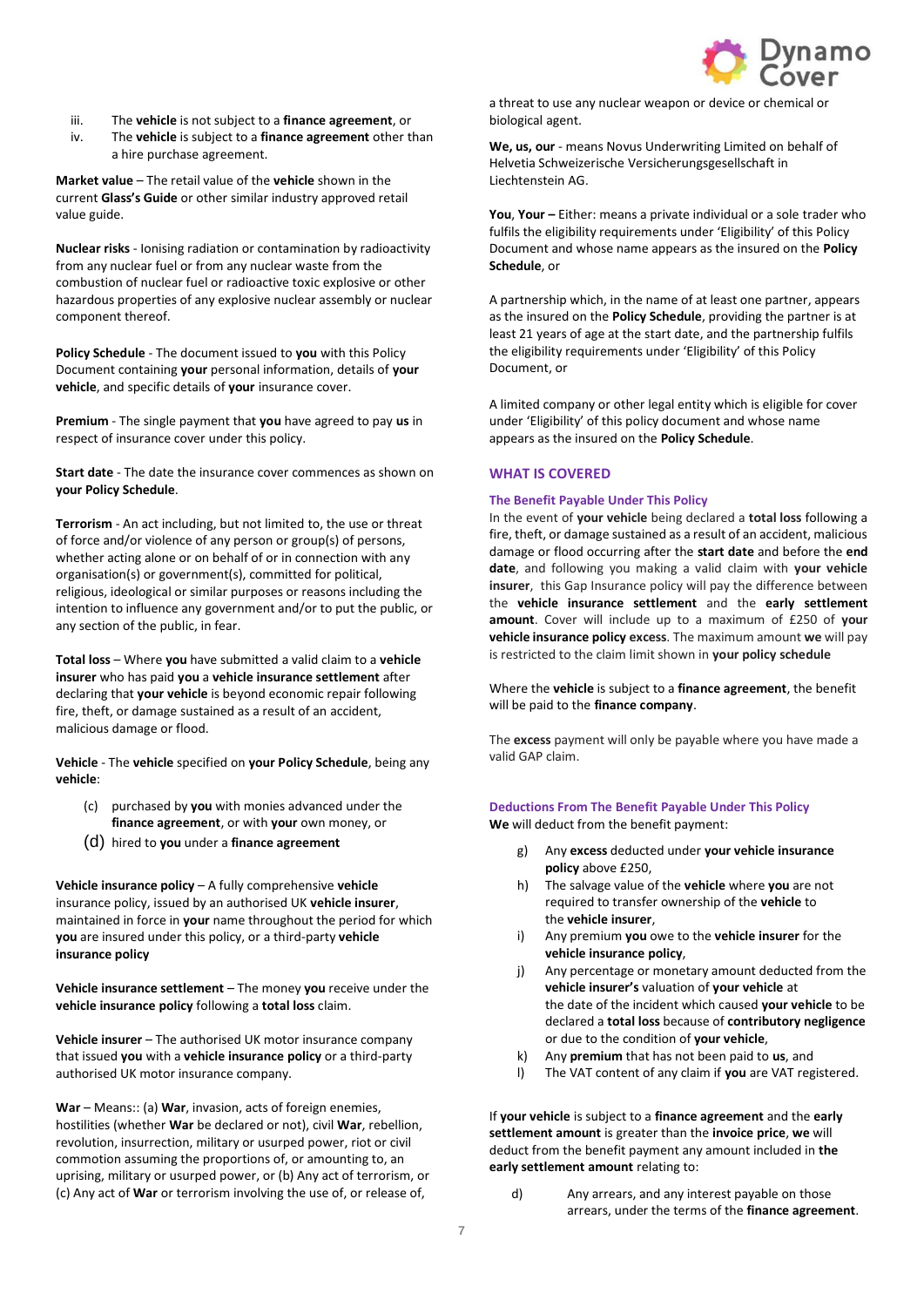

- iii. The **vehicle** is not subject to a **finance agreement**, or
- iv. The **vehicle** is subject to a **finance agreement** other than a hire purchase agreement.

**Market value** – The retail value of the **vehicle** shown in the current **Glass's Guide** or other similar industry approved retail value guide.

**Nuclear risks** - Ionising radiation or contamination by radioactivity from any nuclear fuel or from any nuclear waste from the combustion of nuclear fuel or radioactive toxic explosive or other hazardous properties of any explosive nuclear assembly or nuclear component thereof.

**Policy Schedule** - The document issued to **you** with this Policy Document containing **your** personal information, details of **your vehicle**, and specific details of **your** insurance cover.

**Premium** - The single payment that **you** have agreed to pay **us** in respect of insurance cover under this policy.

**Start date** - The date the insurance cover commences as shown on **your Policy Schedule**.

**Terrorism** - An act including, but not limited to, the use or threat of force and/or violence of any person or group(s) of persons, whether acting alone or on behalf of or in connection with any organisation(s) or government(s), committed for political, religious, ideological or similar purposes or reasons including the intention to influence any government and/or to put the public, or any section of the public, in fear.

**Total loss** – Where **you** have submitted a valid claim to a **vehicle insurer** who has paid **you** a **vehicle insurance settlement** after declaring that **your vehicle** is beyond economic repair following fire, theft, or damage sustained as a result of an accident, malicious damage or flood.

**Vehicle** - The **vehicle** specified on **your Policy Schedule**, being any **vehicle**:

- (c) purchased by **you** with monies advanced under the **finance agreement**, or with **your** own money, or
- (d) hired to **you** under a **finance agreement**

**Vehicle insurance policy** – A fully comprehensive **vehicle** insurance policy, issued by an authorised UK **vehicle insurer**, maintained in force in **your** name throughout the period for which **you** are insured under this policy, or a third-party **vehicle insurance policy**

**Vehicle insurance settlement** – The money **you** receive under the **vehicle insurance policy** following a **total loss** claim.

**Vehicle insurer** – The authorised UK motor insurance company that issued **you** with a **vehicle insurance policy** or a third-party authorised UK motor insurance company.

**War** – Means:: (a) **War**, invasion, acts of foreign enemies, hostilities (whether **War** be declared or not), civil **War**, rebellion, revolution, insurrection, military or usurped power, riot or civil commotion assuming the proportions of, or amounting to, an uprising, military or usurped power, or (b) Any act of terrorism, or (c) Any act of **War** or terrorism involving the use of, or release of,

a threat to use any nuclear weapon or device or chemical or biological agent.

We, us, our - means Novus Underwriting Limited on behalf of Helvetia Schweizerische Versicherungsgesellschaft in Liechtenstein AG.

**You, Your –** Either: means a private individual or a sole trader who fulfils the eligibility requirements under 'Eligibility' of this Policy Document and whose name appears as the insured on the **Policy Schedule**, or

A partnership which, in the name of at least one partner, appears as the insured on the **Policy Schedule**, providing the partner is at least 21 years of age at the start date, and the partnership fulfils the eligibility requirements under 'Eligibility' of this Policy Document, or

A limited company or other legal entity which is eligible for cover under 'Eligibility' of this policy document and whose name appears as the insured on the **Policy Schedule**.

### **WHAT IS COVERED**

## **The Benefit Payable Under This Policy**

In the event of **your vehicle** being declared a **total loss** following a fire, theft, or damage sustained as a result of an accident, malicious damage or flood occurring after the **start date** and before the **end date**, and following you making a valid claim with **your vehicle insurer**, this Gap Insurance policy will pay the difference between the **vehicle insurance settlement** and the **early settlement amount**. Cover will include up to a maximum of £250 of **your vehicle insurance policy excess**. The maximum amount **we** will pay is restricted to the claim limit shown in **your policy schedule**

Where the **vehicle** is subject to a **finance agreement**, the benefit will be paid to the **finance company**.

The **excess** payment will only be payable where you have made a valid GAP claim.

# **Deductions From The Benefit Payable Under This Policy**

**We** will deduct from the benefit payment:

- g) Any **excess** deducted under **your vehicle insurance policy** above £250,
- h) The salvage value of the **vehicle** where **you** are not required to transfer ownership of the **vehicle** to the **vehicle insurer**,
- i) Any premium **you** owe to the **vehicle insurer** for the **vehicle insurance policy**,
- j) Any percentage or monetary amount deducted from the **vehicle insurer's** valuation of **your vehicle** at the date of the incident which caused **your vehicle** to be declared a **total loss** because of **contributory negligence** or due to the condition of **your vehicle**,
- k) Any **premium** that has not been paid to **us**, and
- l) The VAT content of any claim if **you** are VAT registered.

If **your vehicle** is subject to a **finance agreement** and the **early settlement amount** is greater than the **invoice price**, **we** will deduct from the benefit payment any amount included in **the early settlement amount** relating to:

d) Any arrears, and any interest payable on those arrears, under the terms of the **finance agreement**.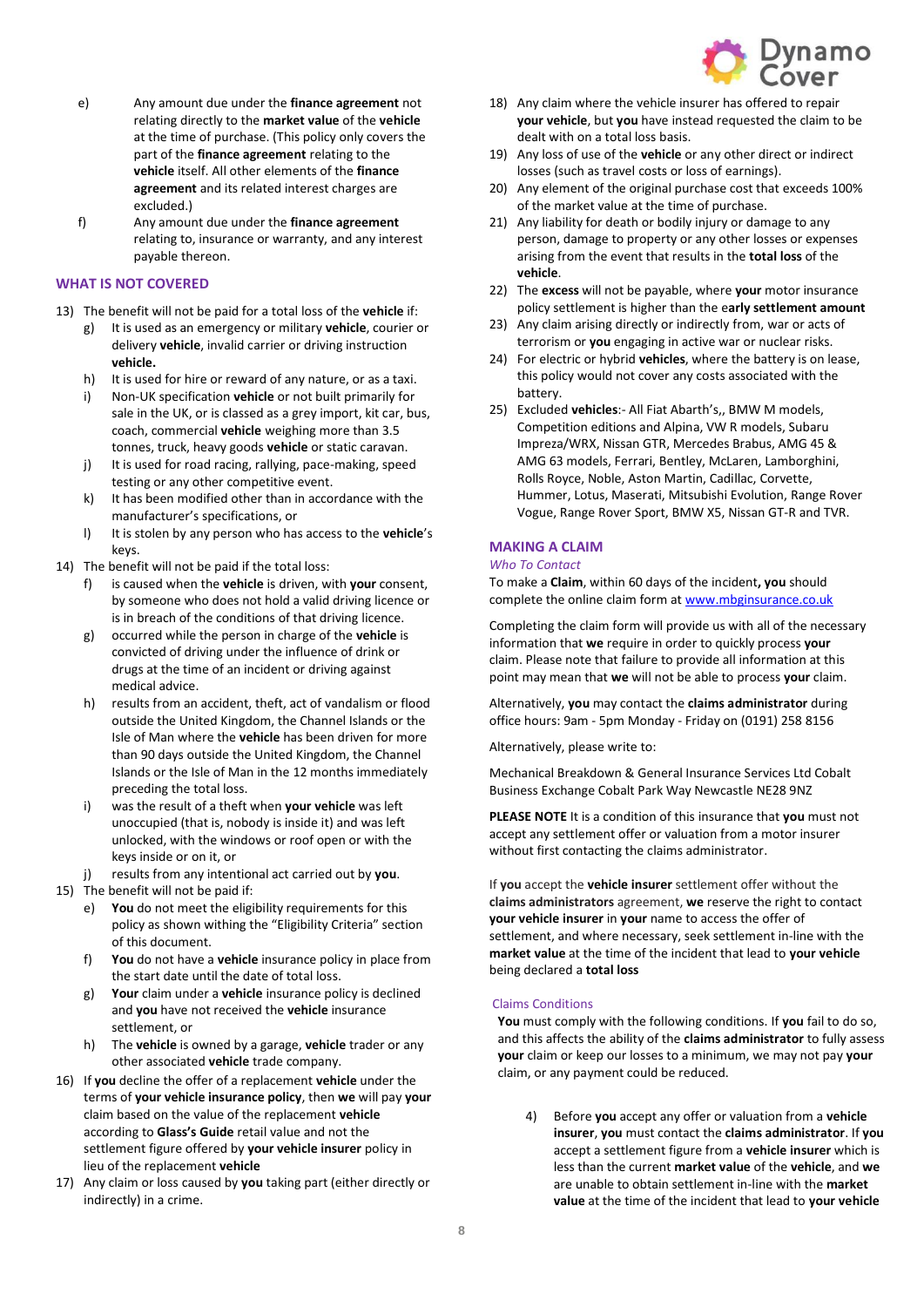

- e) Any amount due under the **finance agreement** not relating directly to the **market value** of the **vehicle** at the time of purchase. (This policy only covers the part of the **finance agreement** relating to the **vehicle** itself. All other elements of the **finance agreement** and its related interest charges are excluded.)
- f) Any amount due under the **finance agreement** relating to, insurance or warranty, and any interest payable thereon.

# **WHAT IS NOT COVERED**

- 13) The benefit will not be paid for a total loss of the **vehicle** if:
	- g) It is used as an emergency or military **vehicle**, courier or delivery **vehicle**, invalid carrier or driving instruction **vehicle.**
	- h) It is used for hire or reward of any nature, or as a taxi.
	- i) Non-UK specification **vehicle** or not built primarily for sale in the UK, or is classed as a grey import, kit car, bus, coach, commercial **vehicle** weighing more than 3.5 tonnes, truck, heavy goods **vehicle** or static caravan.
	- j) It is used for road racing, rallying, pace-making, speed testing or any other competitive event.
	- k) It has been modified other than in accordance with the manufacturer's specifications, or
	- l) It is stolen by any person who has access to the **vehicle**'s keys.
- 14) The benefit will not be paid if the total loss:
	- f) is caused when the **vehicle** is driven, with **your** consent, by someone who does not hold a valid driving licence or is in breach of the conditions of that driving licence.
	- g) occurred while the person in charge of the **vehicle** is convicted of driving under the influence of drink or drugs at the time of an incident or driving against medical advice.
	- h) results from an accident, theft, act of vandalism or flood outside the United Kingdom, the Channel Islands or the Isle of Man where the **vehicle** has been driven for more than 90 days outside the United Kingdom, the Channel Islands or the Isle of Man in the 12 months immediately preceding the total loss.
	- i) was the result of a theft when **your vehicle** was left unoccupied (that is, nobody is inside it) and was left unlocked, with the windows or roof open or with the keys inside or on it, or
	- results from any intentional act carried out by you.
- 15) The benefit will not be paid if:
	- e) **You** do not meet the eligibility requirements for this policy as shown withing the "Eligibility Criteria" section of this document.
	- f) **You** do not have a **vehicle** insurance policy in place from the start date until the date of total loss.
	- g) **Your** claim under a **vehicle** insurance policy is declined and **you** have not received the **vehicle** insurance settlement, or
	- h) The **vehicle** is owned by a garage, **vehicle** trader or any other associated **vehicle** trade company.
- 16) If **you** decline the offer of a replacement **vehicle** under the terms of **your vehicle insurance policy**, then **we** will pay **your**  claim based on the value of the replacement **vehicle**  according to **Glass's Guide** retail value and not the settlement figure offered by **your vehicle insurer** policy in lieu of the replacement **vehicle**
- 17) Any claim or loss caused by **you** taking part (either directly or indirectly) in a crime.
- 18) Any claim where the vehicle insurer has offered to repair **your vehicle**, but **you** have instead requested the claim to be dealt with on a total loss basis.
- 19) Any loss of use of the **vehicle** or any other direct or indirect losses (such as travel costs or loss of earnings).
- 20) Any element of the original purchase cost that exceeds 100% of the market value at the time of purchase.
- 21) Any liability for death or bodily injury or damage to any person, damage to property or any other losses or expenses arising from the event that results in the **total loss** of the **vehicle**.
- 22) The **excess** will not be payable, where **your** motor insurance policy settlement is higher than the e**arly settlement amount**
- 23) Any claim arising directly or indirectly from, war or acts of terrorism or **you** engaging in active war or nuclear risks.
- 24) For electric or hybrid **vehicles**, where the battery is on lease, this policy would not cover any costs associated with the battery.
- 25) Excluded **vehicles**:- All Fiat Abarth's,, BMW M models, Competition editions and Alpina, VW R models, Subaru Impreza/WRX, Nissan GTR, Mercedes Brabus, AMG 45 & AMG 63 models, Ferrari, Bentley, McLaren, Lamborghini, Rolls Royce, Noble, Aston Martin, Cadillac, Corvette, Hummer, Lotus, Maserati, Mitsubishi Evolution, Range Rover Vogue, Range Rover Sport, BMW X5, Nissan GT-R and TVR.

### **MAKING A CLAIM**

#### *Who To Contact*

To make a **Claim**, within 60 days of the incident**, you** should complete the online claim form a[t www.mbginsurance.co.uk](http://www.mbginsurance.co.uk/)

Completing the claim form will provide us with all of the necessary information that **we** require in order to quickly process **your** claim. Please note that failure to provide all information at this point may mean that **we** will not be able to process **your** claim.

Alternatively, **you** may contact the **claims administrator** during office hours: 9am - 5pm Monday - Friday on (0191) 258 8156

Alternatively, please write to:

Mechanical Breakdown & General Insurance Services Ltd Cobalt Business Exchange Cobalt Park Way Newcastle NE28 9NZ

**PLEASE NOTE** It is a condition of this insurance that **you** must not accept any settlement offer or valuation from a motor insurer without first contacting the claims administrator.

If **you** accept the **vehicle insurer** settlement offer without the **claims administrators** agreement, **we** reserve the right to contact **your vehicle insurer** in **your** name to access the offer of settlement, and where necessary, seek settlement in-line with the **market value** at the time of the incident that lead to **your vehicle** being declared a **total loss**

### Claims Conditions

**You** must comply with the following conditions. If **you** fail to do so, and this affects the ability of the **claims administrator** to fully assess **your** claim or keep our losses to a minimum, we may not pay **your** claim, or any payment could be reduced.

4) Before **you** accept any offer or valuation from a **vehicle insurer**, **you** must contact the **claims administrator**. If **you** accept a settlement figure from a **vehicle insurer** which is less than the current **market value** of the **vehicle**, and **we**  are unable to obtain settlement in-line with the **market value** at the time of the incident that lead to **your vehicle**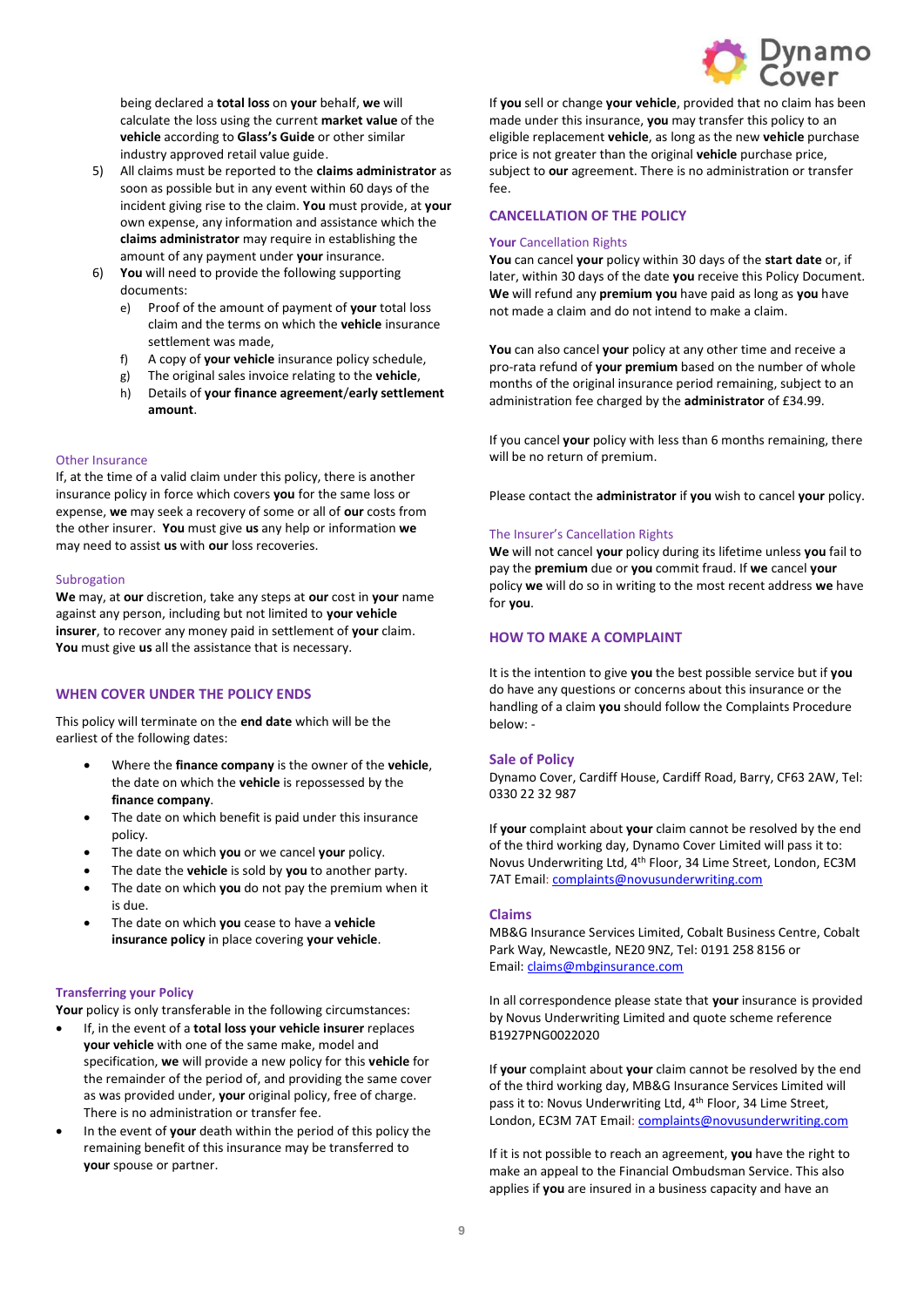

being declared a **total loss** on **your** behalf, **we** will calculate the loss using the current **market value** of the **vehicle** according to **Glass's Guide** or other similar industry approved retail value guide.

- 5) All claims must be reported to the **claims administrator** as soon as possible but in any event within 60 days of the incident giving rise to the claim. **You** must provide, at **your** own expense, any information and assistance which the **claims administrator** may require in establishing the amount of any payment under **your** insurance.
- 6) **You** will need to provide the following supporting documents:
	- e) Proof of the amount of payment of **your** total loss claim and the terms on which the **vehicle** insurance settlement was made,
	- f) A copy of **your vehicle** insurance policy schedule,
	- g) The original sales invoice relating to the **vehicle**,
	- h) Details of **your finance agreement**/**early settlement amount**.

## Other Insurance

If, at the time of a valid claim under this policy, there is another insurance policy in force which covers **you** for the same loss or expense, **we** may seek a recovery of some or all of **our** costs from the other insurer. **You** must give **us** any help or information **we** may need to assist **us** with **our** loss recoveries.

## **Subrogation**

**We** may, at **our** discretion, take any steps at **our** cost in **your** name against any person, including but not limited to **your vehicle insurer**, to recover any money paid in settlement of **your** claim. **You** must give **us** all the assistance that is necessary.

## **WHEN COVER UNDER THE POLICY ENDS**

This policy will terminate on the **end date** which will be the earliest of the following dates:

- Where the **finance company** is the owner of the **vehicle**, the date on which the **vehicle** is repossessed by the **finance company**.
- The date on which benefit is paid under this insurance policy.
- The date on which **you** or we cancel **your** policy.
- The date the **vehicle** is sold by **you** to another party.
- The date on which **you** do not pay the premium when it is due.
- The date on which **you** cease to have a **vehicle insurance policy** in place covering **your vehicle**.

## **Transferring your Policy**

**Your** policy is only transferable in the following circumstances:

- If, in the event of a **total loss your vehicle insurer** replaces **your vehicle** with one of the same make, model and specification, **we** will provide a new policy for this **vehicle** for the remainder of the period of, and providing the same cover as was provided under, **your** original policy, free of charge. There is no administration or transfer fee.
- In the event of **your** death within the period of this policy the remaining benefit of this insurance may be transferred to **your** spouse or partner.

If **you** sell or change **your vehicle**, provided that no claim has been made under this insurance, **you** may transfer this policy to an eligible replacement **vehicle**, as long as the new **vehicle** purchase price is not greater than the original **vehicle** purchase price, subject to **our** agreement. There is no administration or transfer fee.

## **CANCELLATION OF THE POLICY**

## **Your** Cancellation Rights

**You** can cancel **your** policy within 30 days of the **start date** or, if later, within 30 days of the date **you** receive this Policy Document. **We** will refund any **premium you** have paid as long as **you** have not made a claim and do not intend to make a claim.

**You** can also cancel **your** policy at any other time and receive a pro-rata refund of **your premium** based on the number of whole months of the original insurance period remaining, subject to an administration fee charged by the **administrator** of £34.99.

If you cancel **your** policy with less than 6 months remaining, there will be no return of premium.

Please contact the **administrator** if **you** wish to cancel **your** policy.

## The Insurer's Cancellation Rights

**We** will not cancel **your** policy during its lifetime unless **you** fail to pay the **premium** due or **you** commit fraud. If **we** cancel **your** policy **we** will do so in writing to the most recent address **we** have for **you**.

# **HOW TO MAKE A COMPLAINT**

It is the intention to give **you** the best possible service but if **you** do have any questions or concerns about this insurance or the handling of a claim **you** should follow the Complaints Procedure below: -

## **Sale of Policy**

Dynamo Cover, Cardiff House, Cardiff Road, Barry, CF63 2AW, Tel: 0330 22 32 987

If **your** complaint about **your** claim cannot be resolved by the end of the third working day, Dynamo Cover Limited will pass it to: Novus Underwriting Ltd, 4th Floor, 34 Lime Street, London, EC3M 7AT Email[: complaints@novusunderwriting.com](mailto:complaints@novusunderwriting.com)

## **Claims**

MB&G Insurance Services Limited, Cobalt Business Centre, Cobalt Park Way, Newcastle, NE20 9NZ, Tel: 0191 258 8156 or Email: [claims@mbginsurance.com](mailto:claims@mbginsurance.com)

In all correspondence please state that **your** insurance is provided by Novus Underwriting Limited and quote scheme reference B1927PNG0022020

If **your** complaint about **your** claim cannot be resolved by the end of the third working day, MB&G Insurance Services Limited will pass it to: Novus Underwriting Ltd, 4<sup>th</sup> Floor, 34 Lime Street, London, EC3M 7AT Email[: complaints@novusunderwriting.com](mailto:complaints@novusunderwriting.com)

If it is not possible to reach an agreement, **you** have the right to make an appeal to the Financial Ombudsman Service. This also applies if **you** are insured in a business capacity and have an